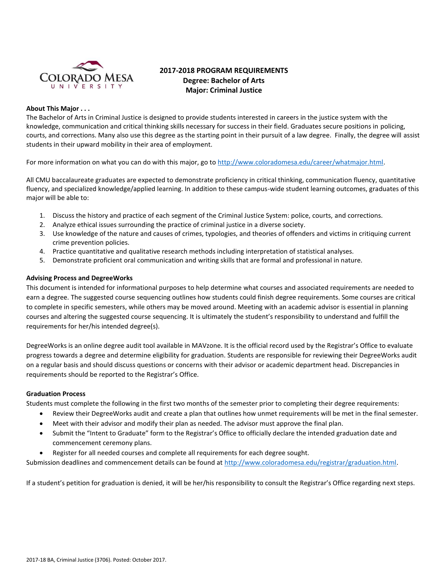

# **2017-2018 PROGRAM REQUIREMENTS Degree: Bachelor of Arts Major: Criminal Justice**

# **About This Major . . .**

The Bachelor of Arts in Criminal Justice is designed to provide students interested in careers in the justice system with the knowledge, communication and critical thinking skills necessary for success in their field. Graduates secure positions in policing, courts, and corrections. Many also use this degree as the starting point in their pursuit of a law degree. Finally, the degree will assist students in their upward mobility in their area of employment.

For more information on what you can do with this major, go t[o http://www.coloradomesa.edu/career/whatmajor.html.](http://www.coloradomesa.edu/career/whatmajor.html)

All CMU baccalaureate graduates are expected to demonstrate proficiency in critical thinking, communication fluency, quantitative fluency, and specialized knowledge/applied learning. In addition to these campus-wide student learning outcomes, graduates of this major will be able to:

- 1. Discuss the history and practice of each segment of the Criminal Justice System: police, courts, and corrections.
- 2. Analyze ethical issues surrounding the practice of criminal justice in a diverse society.
- 3. Use knowledge of the nature and causes of crimes, typologies, and theories of offenders and victims in critiquing current crime prevention policies.
- 4. Practice quantitative and qualitative research methods including interpretation of statistical analyses.
- 5. Demonstrate proficient oral communication and writing skills that are formal and professional in nature.

#### **Advising Process and DegreeWorks**

This document is intended for informational purposes to help determine what courses and associated requirements are needed to earn a degree. The suggested course sequencing outlines how students could finish degree requirements. Some courses are critical to complete in specific semesters, while others may be moved around. Meeting with an academic advisor is essential in planning courses and altering the suggested course sequencing. It is ultimately the student's responsibility to understand and fulfill the requirements for her/his intended degree(s).

DegreeWorks is an online degree audit tool available in MAVzone. It is the official record used by the Registrar's Office to evaluate progress towards a degree and determine eligibility for graduation. Students are responsible for reviewing their DegreeWorks audit on a regular basis and should discuss questions or concerns with their advisor or academic department head. Discrepancies in requirements should be reported to the Registrar's Office.

#### **Graduation Process**

Students must complete the following in the first two months of the semester prior to completing their degree requirements:

- Review their DegreeWorks audit and create a plan that outlines how unmet requirements will be met in the final semester.
- Meet with their advisor and modify their plan as needed. The advisor must approve the final plan.
- Submit the "Intent to Graduate" form to the Registrar's Office to officially declare the intended graduation date and commencement ceremony plans.
- Register for all needed courses and complete all requirements for each degree sought.

Submission deadlines and commencement details can be found at [http://www.coloradomesa.edu/registrar/graduation.html.](http://www.coloradomesa.edu/registrar/graduation.html)

If a student's petition for graduation is denied, it will be her/his responsibility to consult the Registrar's Office regarding next steps.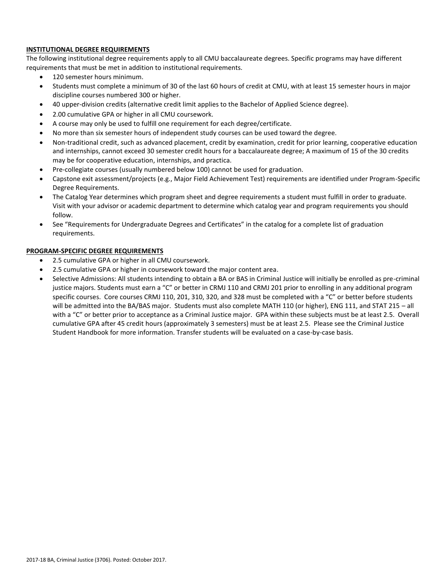# **INSTITUTIONAL DEGREE REQUIREMENTS**

The following institutional degree requirements apply to all CMU baccalaureate degrees. Specific programs may have different requirements that must be met in addition to institutional requirements.

- 120 semester hours minimum.
- Students must complete a minimum of 30 of the last 60 hours of credit at CMU, with at least 15 semester hours in major discipline courses numbered 300 or higher.
- 40 upper-division credits (alternative credit limit applies to the Bachelor of Applied Science degree).
- 2.00 cumulative GPA or higher in all CMU coursework.
- A course may only be used to fulfill one requirement for each degree/certificate.
- No more than six semester hours of independent study courses can be used toward the degree.
- Non-traditional credit, such as advanced placement, credit by examination, credit for prior learning, cooperative education and internships, cannot exceed 30 semester credit hours for a baccalaureate degree; A maximum of 15 of the 30 credits may be for cooperative education, internships, and practica.
- Pre-collegiate courses (usually numbered below 100) cannot be used for graduation.
- Capstone exit assessment/projects (e.g., Major Field Achievement Test) requirements are identified under Program-Specific Degree Requirements.
- The Catalog Year determines which program sheet and degree requirements a student must fulfill in order to graduate. Visit with your advisor or academic department to determine which catalog year and program requirements you should follow.
- See "Requirements for Undergraduate Degrees and Certificates" in the catalog for a complete list of graduation requirements.

# **PROGRAM-SPECIFIC DEGREE REQUIREMENTS**

- 2.5 cumulative GPA or higher in all CMU coursework.
- 2.5 cumulative GPA or higher in coursework toward the major content area.
- Selective Admissions: All students intending to obtain a BA or BAS in Criminal Justice will initially be enrolled as pre-criminal justice majors. Students must earn a "C" or better in CRMJ 110 and CRMJ 201 prior to enrolling in any additional program specific courses. Core courses CRMJ 110, 201, 310, 320, and 328 must be completed with a "C" or better before students will be admitted into the BA/BAS major. Students must also complete MATH 110 (or higher), ENG 111, and STAT 215 - all with a "C" or better prior to acceptance as a Criminal Justice major. GPA within these subjects must be at least 2.5. Overall cumulative GPA after 45 credit hours (approximately 3 semesters) must be at least 2.5. Please see the Criminal Justice Student Handbook for more information. Transfer students will be evaluated on a case-by-case basis.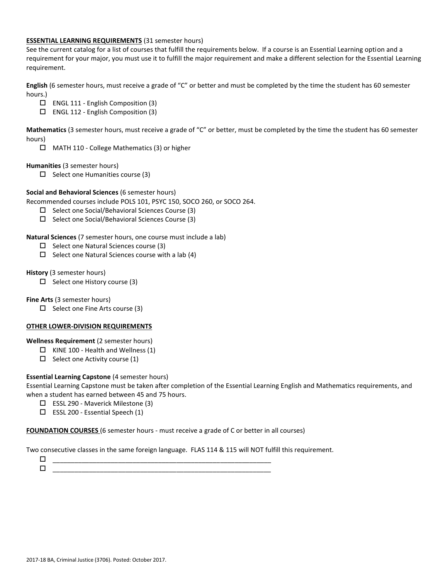# **ESSENTIAL LEARNING REQUIREMENTS** (31 semester hours)

See the current catalog for a list of courses that fulfill the requirements below. If a course is an Essential Learning option and a requirement for your major, you must use it to fulfill the major requirement and make a different selection for the Essential Learning requirement.

**English** (6 semester hours, must receive a grade of "C" or better and must be completed by the time the student has 60 semester hours.)

- ENGL 111 English Composition (3)
- ENGL 112 English Composition (3)

**Mathematics** (3 semester hours, must receive a grade of "C" or better, must be completed by the time the student has 60 semester hours)

MATH 110 - College Mathematics (3) or higher

# **Humanities** (3 semester hours)

 $\Box$  Select one Humanities course (3)

# **Social and Behavioral Sciences** (6 semester hours)

Recommended courses include POLS 101, PSYC 150, SOCO 260, or SOCO 264.

- $\Box$  Select one Social/Behavioral Sciences Course (3)
- $\Box$  Select one Social/Behavioral Sciences Course (3)

# **Natural Sciences** (7 semester hours, one course must include a lab)

- $\Box$  Select one Natural Sciences course (3)
- $\square$  Select one Natural Sciences course with a lab (4)

# **History** (3 semester hours)

 $\Box$  Select one History course (3)

**Fine Arts** (3 semester hours)

 $\Box$  Select one Fine Arts course (3)

#### **OTHER LOWER-DIVISION REQUIREMENTS**

**Wellness Requirement** (2 semester hours)

- $\Box$  KINE 100 Health and Wellness (1)
- $\Box$  Select one Activity course (1)

# **Essential Learning Capstone** (4 semester hours)

Essential Learning Capstone must be taken after completion of the Essential Learning English and Mathematics requirements, and when a student has earned between 45 and 75 hours.

- ESSL 290 Maverick Milestone (3)
- $\Box$  ESSL 200 Essential Speech (1)

**FOUNDATION COURSES** (6 semester hours - must receive a grade of C or better in all courses)

Two consecutive classes in the same foreign language. FLAS 114 & 115 will NOT fulfill this requirement.

 \_\_\_\_\_\_\_\_\_\_\_\_\_\_\_\_\_\_\_\_\_\_\_\_\_\_\_\_\_\_\_\_\_\_\_\_\_\_\_\_\_\_\_\_\_\_\_\_\_\_\_\_\_\_\_\_\_\_\_\_ \_\_\_\_\_\_\_\_\_\_\_\_\_\_\_\_\_\_\_\_\_\_\_\_\_\_\_\_\_\_\_\_\_\_\_\_\_\_\_\_\_\_\_\_\_\_\_\_\_\_\_\_\_\_\_\_\_\_\_\_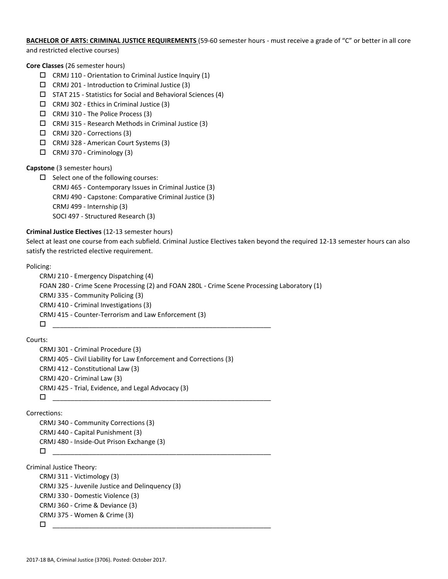**BACHELOR OF ARTS: CRIMINAL JUSTICE REQUIREMENTS** (59-60 semester hours - must receive a grade of "C" or better in all core and restricted elective courses)

**Core Classes** (26 semester hours)

- $\Box$  CRMJ 110 Orientation to Criminal Justice Inquiry (1)
- $\Box$  CRMJ 201 Introduction to Criminal Justice (3)
- $\square$  STAT 215 Statistics for Social and Behavioral Sciences (4)
- $\Box$  CRMJ 302 Ethics in Criminal Justice (3)
- $\Box$  CRMJ 310 The Police Process (3)
- $\Box$  CRMJ 315 Research Methods in Criminal Justice (3)
- $\Box$  CRMJ 320 Corrections (3)
- CRMJ 328 American Court Systems (3)
- $\Box$  CRMJ 370 Criminology (3)

# **Capstone** (3 semester hours)

 $\square$  Select one of the following courses: CRMJ 465 - Contemporary Issues in Criminal Justice (3) CRMJ 490 - Capstone: Comparative Criminal Justice (3) CRMJ 499 - Internship (3) SOCI 497 - Structured Research (3)

# **Criminal Justice Electives** (12-13 semester hours)

Select at least one course from each subfield. Criminal Justice Electives taken beyond the required 12-13 semester hours can also satisfy the restricted elective requirement.

#### Policing:

```
CRMJ 210 - Emergency Dispatching (4)
FOAN 280 - Crime Scene Processing (2) and FOAN 280L - Crime Scene Processing Laboratory (1)
CRMJ 335 - Community Policing (3)
CRMJ 410 - Criminal Investigations (3)
CRMJ 415 - Counter-Terrorism and Law Enforcement (3)
 ____________________________________________________________
```
Courts:

```
CRMJ 301 - Criminal Procedure (3)
CRMJ 405 - Civil Liability for Law Enforcement and Corrections (3) 
CRMJ 412 - Constitutional Law (3)
CRMJ 420 - Criminal Law (3)
CRMJ 425 - Trial, Evidence, and Legal Advocacy (3)
 ____________________________________________________________
```
Corrections:

```
CRMJ 340 - Community Corrections (3)
CRMJ 440 - Capital Punishment (3)
CRMJ 480 - Inside-Out Prison Exchange (3)
 ____________________________________________________________
```
Criminal Justice Theory:

```
CRMJ 311 - Victimology (3)
CRMJ 325 - Juvenile Justice and Delinquency (3)
CRMJ 330 - Domestic Violence (3)
CRMJ 360 - Crime & Deviance (3)
CRMJ 375 - Women & Crime (3)
\Box
```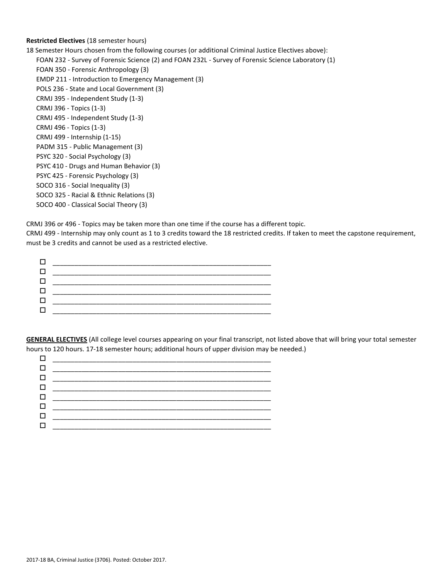# **Restricted Electives** (18 semester hours)

18 Semester Hours chosen from the following courses (or additional Criminal Justice Electives above):

FOAN 232 - Survey of Forensic Science (2) and FOAN 232L - Survey of Forensic Science Laboratory (1)

FOAN 350 - Forensic Anthropology (3) EMDP 211 - Introduction to Emergency Management (3) POLS 236 - State and Local Government (3) CRMJ 395 - Independent Study (1-3) CRMJ 396 - Topics (1-3) CRMJ 495 - Independent Study (1-3) CRMJ 496 - Topics (1-3) CRMJ 499 - Internship (1-15) PADM 315 - Public Management (3) PSYC 320 - Social Psychology (3) PSYC 410 - Drugs and Human Behavior (3) PSYC 425 - Forensic Psychology (3) SOCO 316 - Social Inequality (3) SOCO 325 - Racial & Ethnic Relations (3) SOCO 400 - Classical Social Theory (3)

CRMJ 396 or 496 - Topics may be taken more than one time if the course has a different topic.

CRMJ 499 - Internship may only count as 1 to 3 credits toward the 18 restricted credits. If taken to meet the capstone requirement, must be 3 credits and cannot be used as a restricted elective.



**GENERAL ELECTIVES** (All college level courses appearing on your final transcript, not listed above that will bring your total semester hours to 120 hours. 17-18 semester hours; additional hours of upper division may be needed.)

| $\Box$ |                                                       |
|--------|-------------------------------------------------------|
|        |                                                       |
|        |                                                       |
| $\Box$ |                                                       |
|        | 0 ____________________________                        |
|        | <u> 1980 - Johann Barn, mars and de Brasil</u>        |
|        | <u> 1980 - Jan Stein Berlin, amerikansk politik (</u> |
|        |                                                       |